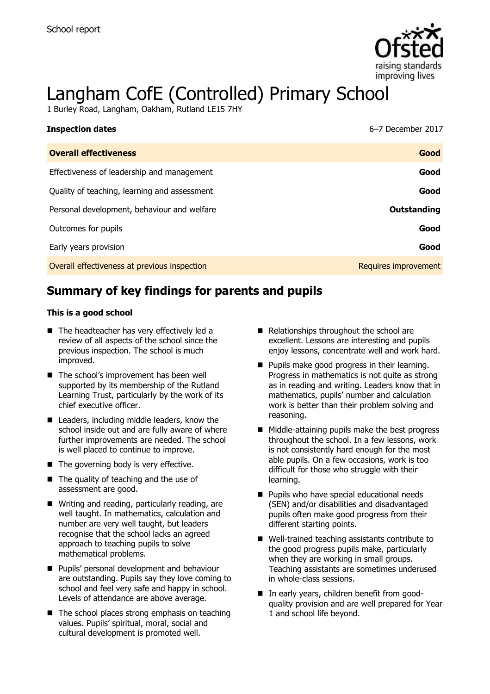

# Langham CofE (Controlled) Primary School

1 Burley Road, Langham, Oakham, Rutland LE15 7HY

| <b>Inspection dates</b>                      | 6-7 December 2017    |
|----------------------------------------------|----------------------|
| <b>Overall effectiveness</b>                 | Good                 |
| Effectiveness of leadership and management   | Good                 |
| Quality of teaching, learning and assessment | Good                 |
| Personal development, behaviour and welfare  | Outstanding          |
| Outcomes for pupils                          | Good                 |
| Early years provision                        | Good                 |
| Overall effectiveness at previous inspection | Requires improvement |

# **Summary of key findings for parents and pupils**

#### **This is a good school**

- The headteacher has very effectively led a review of all aspects of the school since the previous inspection. The school is much improved.
- The school's improvement has been well supported by its membership of the Rutland Learning Trust, particularly by the work of its chief executive officer.
- Leaders, including middle leaders, know the school inside out and are fully aware of where further improvements are needed. The school is well placed to continue to improve.
- $\blacksquare$  The governing body is very effective.
- The quality of teaching and the use of assessment are good.
- Writing and reading, particularly reading, are well taught. In mathematics, calculation and number are very well taught, but leaders recognise that the school lacks an agreed approach to teaching pupils to solve mathematical problems.
- **Pupils' personal development and behaviour** are outstanding. Pupils say they love coming to school and feel very safe and happy in school. Levels of attendance are above average.
- $\blacksquare$  The school places strong emphasis on teaching values. Pupils' spiritual, moral, social and cultural development is promoted well.
- Relationships throughout the school are excellent. Lessons are interesting and pupils enjoy lessons, concentrate well and work hard.
- **Pupils make good progress in their learning.** Progress in mathematics is not quite as strong as in reading and writing. Leaders know that in mathematics, pupils' number and calculation work is better than their problem solving and reasoning.
- Middle-attaining pupils make the best progress throughout the school. In a few lessons, work is not consistently hard enough for the most able pupils. On a few occasions, work is too difficult for those who struggle with their learning.
- **Pupils who have special educational needs** (SEN) and/or disabilities and disadvantaged pupils often make good progress from their different starting points.
- Well-trained teaching assistants contribute to the good progress pupils make, particularly when they are working in small groups. Teaching assistants are sometimes underused in whole-class sessions.
- In early years, children benefit from goodquality provision and are well prepared for Year 1 and school life beyond.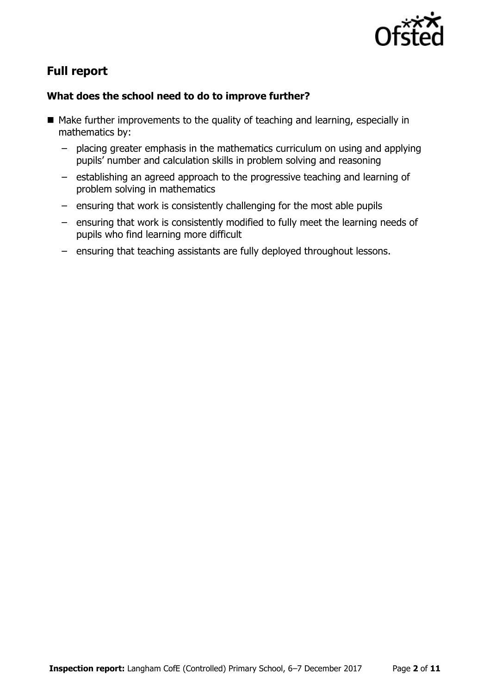

# **Full report**

### **What does the school need to do to improve further?**

- $\blacksquare$  Make further improvements to the quality of teaching and learning, especially in mathematics by:
	- placing greater emphasis in the mathematics curriculum on using and applying pupils' number and calculation skills in problem solving and reasoning
	- establishing an agreed approach to the progressive teaching and learning of problem solving in mathematics
	- ensuring that work is consistently challenging for the most able pupils
	- ensuring that work is consistently modified to fully meet the learning needs of pupils who find learning more difficult
	- ensuring that teaching assistants are fully deployed throughout lessons.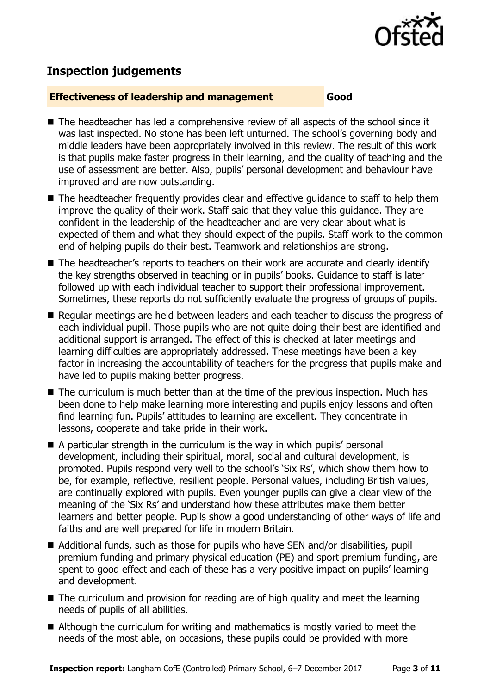

# **Inspection judgements**

#### **Effectiveness of leadership and management Good**

- The headteacher has led a comprehensive review of all aspects of the school since it was last inspected. No stone has been left unturned. The school's governing body and middle leaders have been appropriately involved in this review. The result of this work is that pupils make faster progress in their learning, and the quality of teaching and the use of assessment are better. Also, pupils' personal development and behaviour have improved and are now outstanding.
- The headteacher frequently provides clear and effective quidance to staff to help them improve the quality of their work. Staff said that they value this guidance. They are confident in the leadership of the headteacher and are very clear about what is expected of them and what they should expect of the pupils. Staff work to the common end of helping pupils do their best. Teamwork and relationships are strong.
- The headteacher's reports to teachers on their work are accurate and clearly identify the key strengths observed in teaching or in pupils' books. Guidance to staff is later followed up with each individual teacher to support their professional improvement. Sometimes, these reports do not sufficiently evaluate the progress of groups of pupils.
- Regular meetings are held between leaders and each teacher to discuss the progress of each individual pupil. Those pupils who are not quite doing their best are identified and additional support is arranged. The effect of this is checked at later meetings and learning difficulties are appropriately addressed. These meetings have been a key factor in increasing the accountability of teachers for the progress that pupils make and have led to pupils making better progress.
- The curriculum is much better than at the time of the previous inspection. Much has been done to help make learning more interesting and pupils enjoy lessons and often find learning fun. Pupils' attitudes to learning are excellent. They concentrate in lessons, cooperate and take pride in their work.
- A particular strength in the curriculum is the way in which pupils' personal development, including their spiritual, moral, social and cultural development, is promoted. Pupils respond very well to the school's 'Six Rs', which show them how to be, for example, reflective, resilient people. Personal values, including British values, are continually explored with pupils. Even younger pupils can give a clear view of the meaning of the 'Six Rs' and understand how these attributes make them better learners and better people. Pupils show a good understanding of other ways of life and faiths and are well prepared for life in modern Britain.
- Additional funds, such as those for pupils who have SEN and/or disabilities, pupil premium funding and primary physical education (PE) and sport premium funding, are spent to good effect and each of these has a very positive impact on pupils' learning and development.
- The curriculum and provision for reading are of high quality and meet the learning needs of pupils of all abilities.
- Although the curriculum for writing and mathematics is mostly varied to meet the needs of the most able, on occasions, these pupils could be provided with more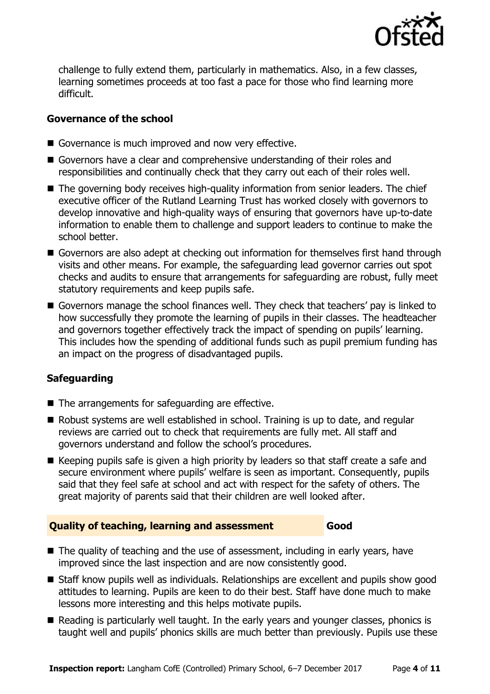

challenge to fully extend them, particularly in mathematics. Also, in a few classes, learning sometimes proceeds at too fast a pace for those who find learning more difficult.

### **Governance of the school**

- Governance is much improved and now very effective.
- Governors have a clear and comprehensive understanding of their roles and responsibilities and continually check that they carry out each of their roles well.
- The governing body receives high-quality information from senior leaders. The chief executive officer of the Rutland Learning Trust has worked closely with governors to develop innovative and high-quality ways of ensuring that governors have up-to-date information to enable them to challenge and support leaders to continue to make the school better.
- Governors are also adept at checking out information for themselves first hand through visits and other means. For example, the safeguarding lead governor carries out spot checks and audits to ensure that arrangements for safeguarding are robust, fully meet statutory requirements and keep pupils safe.
- Governors manage the school finances well. They check that teachers' pay is linked to how successfully they promote the learning of pupils in their classes. The headteacher and governors together effectively track the impact of spending on pupils' learning. This includes how the spending of additional funds such as pupil premium funding has an impact on the progress of disadvantaged pupils.

### **Safeguarding**

- $\blacksquare$  The arrangements for safeguarding are effective.
- Robust systems are well established in school. Training is up to date, and regular reviews are carried out to check that requirements are fully met. All staff and governors understand and follow the school's procedures.
- $\blacksquare$  Keeping pupils safe is given a high priority by leaders so that staff create a safe and secure environment where pupils' welfare is seen as important. Consequently, pupils said that they feel safe at school and act with respect for the safety of others. The great majority of parents said that their children are well looked after.

#### **Quality of teaching, learning and assessment Good**

- The quality of teaching and the use of assessment, including in early years, have improved since the last inspection and are now consistently good.
- Staff know pupils well as individuals. Relationships are excellent and pupils show good attitudes to learning. Pupils are keen to do their best. Staff have done much to make lessons more interesting and this helps motivate pupils.
- Reading is particularly well taught. In the early years and younger classes, phonics is taught well and pupils' phonics skills are much better than previously. Pupils use these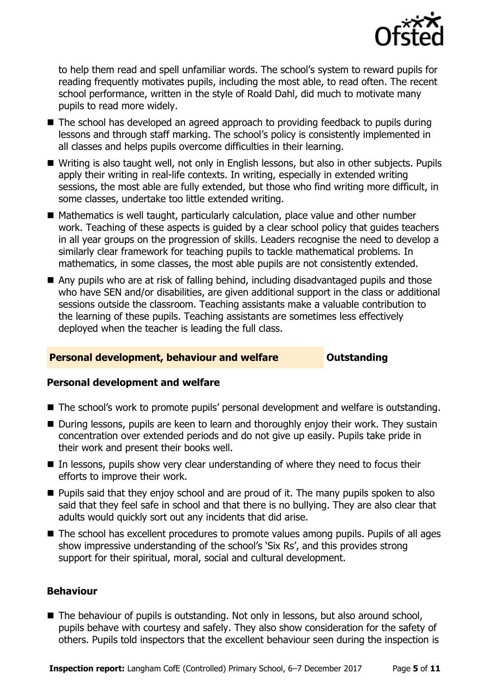

to help them read and spell unfamiliar words. The school's system to reward pupils for reading frequently motivates pupils, including the most able, to read often. The recent school performance, written in the style of Roald Dahl, did much to motivate many pupils to read more widely.

- The school has developed an agreed approach to providing feedback to pupils during lessons and through staff marking. The school's policy is consistently implemented in all classes and helps pupils overcome difficulties in their learning.
- Writing is also taught well, not only in English lessons, but also in other subjects. Pupils apply their writing in real-life contexts. In writing, especially in extended writing sessions, the most able are fully extended, but those who find writing more difficult, in some classes, undertake too little extended writing.
- Mathematics is well taught, particularly calculation, place value and other number work. Teaching of these aspects is guided by a clear school policy that guides teachers in all year groups on the progression of skills. Leaders recognise the need to develop a similarly clear framework for teaching pupils to tackle mathematical problems. In mathematics, in some classes, the most able pupils are not consistently extended.
- Any pupils who are at risk of falling behind, including disadvantaged pupils and those who have SEN and/or disabilities, are given additional support in the class or additional sessions outside the classroom. Teaching assistants make a valuable contribution to the learning of these pupils. Teaching assistants are sometimes less effectively deployed when the teacher is leading the full class.

### **Personal development, behaviour and welfare <b>COU COULDER** Outstanding

### **Personal development and welfare**

- The school's work to promote pupils' personal development and welfare is outstanding.
- During lessons, pupils are keen to learn and thoroughly enjoy their work. They sustain concentration over extended periods and do not give up easily. Pupils take pride in their work and present their books well.
- In lessons, pupils show very clear understanding of where they need to focus their efforts to improve their work.
- **Pupils said that they enjoy school and are proud of it. The many pupils spoken to also** said that they feel safe in school and that there is no bullying. They are also clear that adults would quickly sort out any incidents that did arise.
- The school has excellent procedures to promote values among pupils. Pupils of all ages show impressive understanding of the school's 'Six Rs', and this provides strong support for their spiritual, moral, social and cultural development.

#### **Behaviour**

■ The behaviour of pupils is outstanding. Not only in lessons, but also around school, pupils behave with courtesy and safely. They also show consideration for the safety of others. Pupils told inspectors that the excellent behaviour seen during the inspection is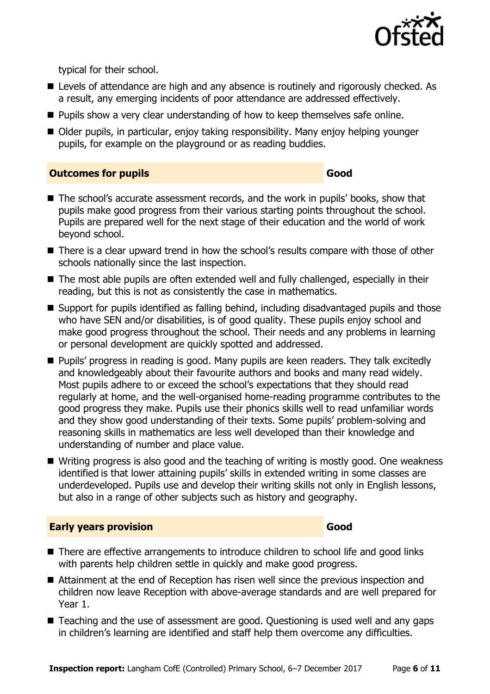

typical for their school.

- **E** Levels of attendance are high and any absence is routinely and rigorously checked. As a result, any emerging incidents of poor attendance are addressed effectively.
- **Pupils show a very clear understanding of how to keep themselves safe online.**
- Older pupils, in particular, enjoy taking responsibility. Many enjoy helping younger pupils, for example on the playground or as reading buddies.

#### **Outcomes for pupils Good**

- The school's accurate assessment records, and the work in pupils' books, show that pupils make good progress from their various starting points throughout the school. Pupils are prepared well for the next stage of their education and the world of work beyond school.
- There is a clear upward trend in how the school's results compare with those of other schools nationally since the last inspection.
- The most able pupils are often extended well and fully challenged, especially in their reading, but this is not as consistently the case in mathematics.
- Support for pupils identified as falling behind, including disadvantaged pupils and those who have SEN and/or disabilities, is of good quality. These pupils enjoy school and make good progress throughout the school. Their needs and any problems in learning or personal development are quickly spotted and addressed.
- **Pupils' progress in reading is good. Many pupils are keen readers. They talk excitedly** and knowledgeably about their favourite authors and books and many read widely. Most pupils adhere to or exceed the school's expectations that they should read regularly at home, and the well-organised home-reading programme contributes to the good progress they make. Pupils use their phonics skills well to read unfamiliar words and they show good understanding of their texts. Some pupils' problem-solving and reasoning skills in mathematics are less well developed than their knowledge and understanding of number and place value.
- Writing progress is also good and the teaching of writing is mostly good. One weakness identified is that lower attaining pupils' skills in extended writing in some classes are underdeveloped. Pupils use and develop their writing skills not only in English lessons, but also in a range of other subjects such as history and geography.

### **Early years provision Good Good**

- There are effective arrangements to introduce children to school life and good links with parents help children settle in quickly and make good progress.
- Attainment at the end of Reception has risen well since the previous inspection and children now leave Reception with above-average standards and are well prepared for Year 1.
- Teaching and the use of assessment are good. Questioning is used well and any gaps in children's learning are identified and staff help them overcome any difficulties.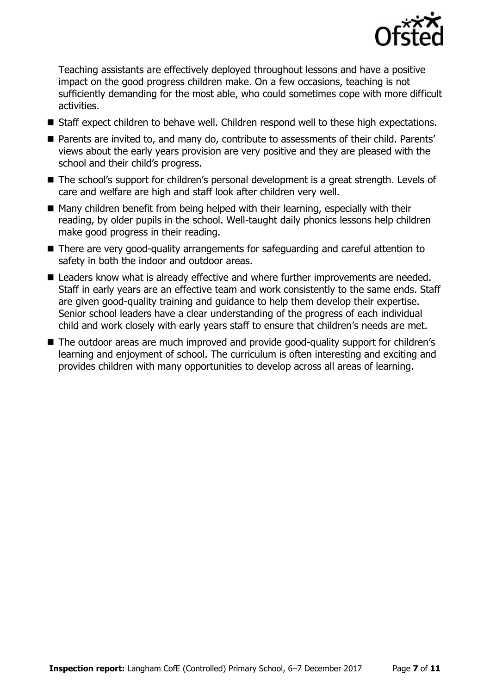

Teaching assistants are effectively deployed throughout lessons and have a positive impact on the good progress children make. On a few occasions, teaching is not sufficiently demanding for the most able, who could sometimes cope with more difficult activities.

- Staff expect children to behave well. Children respond well to these high expectations.
- Parents are invited to, and many do, contribute to assessments of their child. Parents' views about the early years provision are very positive and they are pleased with the school and their child's progress.
- The school's support for children's personal development is a great strength. Levels of care and welfare are high and staff look after children very well.
- Many children benefit from being helped with their learning, especially with their reading, by older pupils in the school. Well-taught daily phonics lessons help children make good progress in their reading.
- There are very good-quality arrangements for safeguarding and careful attention to safety in both the indoor and outdoor areas.
- Leaders know what is already effective and where further improvements are needed. Staff in early years are an effective team and work consistently to the same ends. Staff are given good-quality training and guidance to help them develop their expertise. Senior school leaders have a clear understanding of the progress of each individual child and work closely with early years staff to ensure that children's needs are met.
- The outdoor areas are much improved and provide good-quality support for children's learning and enjoyment of school. The curriculum is often interesting and exciting and provides children with many opportunities to develop across all areas of learning.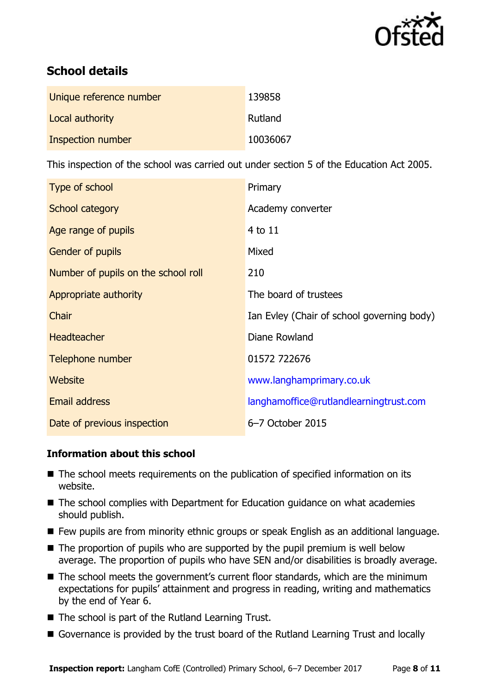

# **School details**

| Unique reference number | 139858   |
|-------------------------|----------|
| Local authority         | Rutland  |
| Inspection number       | 10036067 |

This inspection of the school was carried out under section 5 of the Education Act 2005.

| Type of school                      | Primary                                    |
|-------------------------------------|--------------------------------------------|
| School category                     | Academy converter                          |
| Age range of pupils                 | 4 to 11                                    |
| <b>Gender of pupils</b>             | Mixed                                      |
| Number of pupils on the school roll | 210                                        |
| Appropriate authority               | The board of trustees                      |
| Chair                               | Ian Evley (Chair of school governing body) |
| <b>Headteacher</b>                  | Diane Rowland                              |
| Telephone number                    | 01572 722676                               |
| Website                             | www.langhamprimary.co.uk                   |
| Email address                       | langhamoffice@rutlandlearningtrust.com     |
| Date of previous inspection         | 6-7 October 2015                           |

### **Information about this school**

- The school meets requirements on the publication of specified information on its website.
- The school complies with Department for Education guidance on what academies should publish.
- Few pupils are from minority ethnic groups or speak English as an additional language.
- $\blacksquare$  The proportion of pupils who are supported by the pupil premium is well below average. The proportion of pupils who have SEN and/or disabilities is broadly average.
- The school meets the government's current floor standards, which are the minimum expectations for pupils' attainment and progress in reading, writing and mathematics by the end of Year 6.
- The school is part of the Rutland Learning Trust.
- Governance is provided by the trust board of the Rutland Learning Trust and locally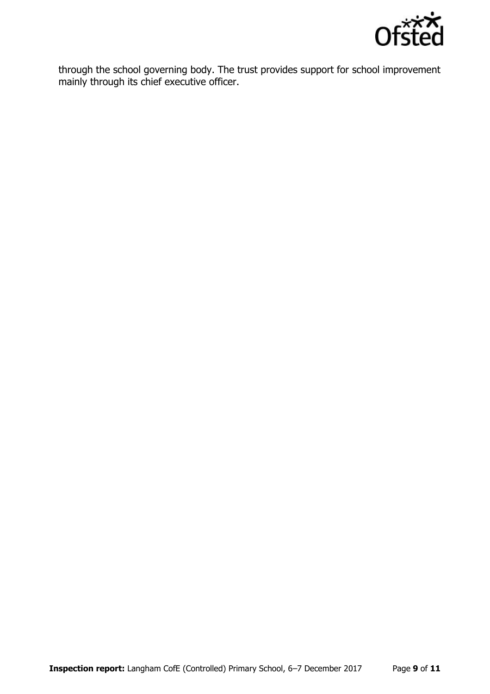

through the school governing body. The trust provides support for school improvement mainly through its chief executive officer.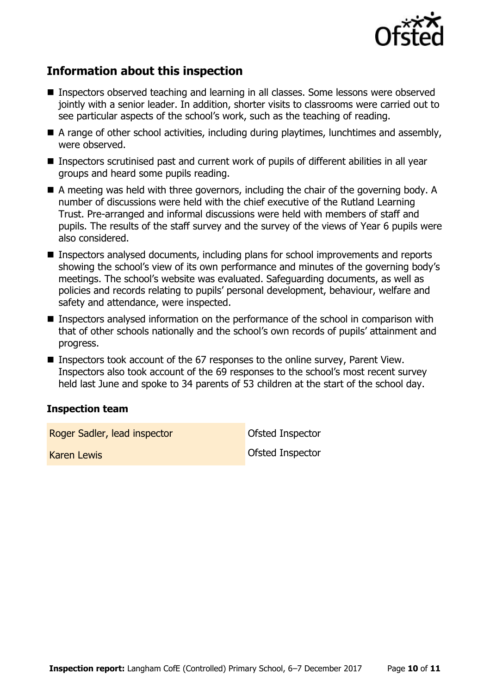

## **Information about this inspection**

- Inspectors observed teaching and learning in all classes. Some lessons were observed jointly with a senior leader. In addition, shorter visits to classrooms were carried out to see particular aspects of the school's work, such as the teaching of reading.
- A range of other school activities, including during playtimes, lunchtimes and assembly, were observed.
- Inspectors scrutinised past and current work of pupils of different abilities in all year groups and heard some pupils reading.
- A meeting was held with three governors, including the chair of the governing body. A number of discussions were held with the chief executive of the Rutland Learning Trust. Pre-arranged and informal discussions were held with members of staff and pupils. The results of the staff survey and the survey of the views of Year 6 pupils were also considered.
- Inspectors analysed documents, including plans for school improvements and reports showing the school's view of its own performance and minutes of the governing body's meetings. The school's website was evaluated. Safeguarding documents, as well as policies and records relating to pupils' personal development, behaviour, welfare and safety and attendance, were inspected.
- **Inspectors analysed information on the performance of the school in comparison with** that of other schools nationally and the school's own records of pupils' attainment and progress.
- Inspectors took account of the 67 responses to the online survey, Parent View. Inspectors also took account of the 69 responses to the school's most recent survey held last June and spoke to 34 parents of 53 children at the start of the school day.

#### **Inspection team**

Roger Sadler, lead inspector **Constanting Constanting Constanting Constanting Constanting Constanting Constanting Constanting Constanting Constanting Constanting Constanting Constanting Constanting Constanting Constanting** 

Karen Lewis Ofsted Inspector